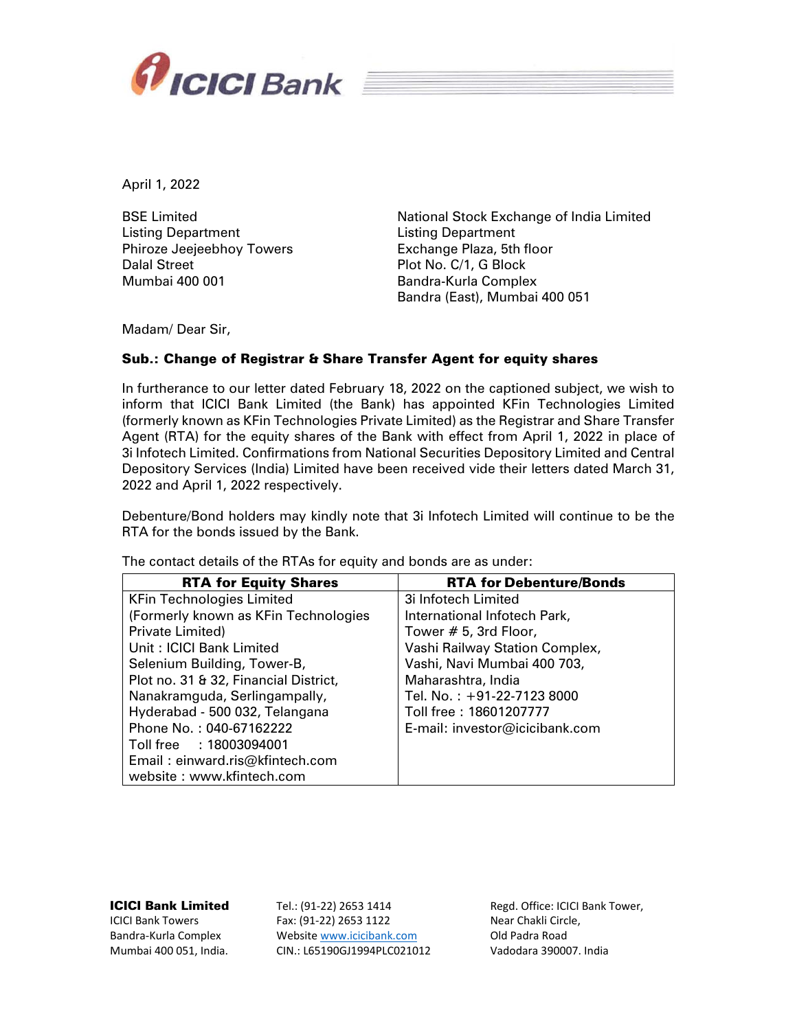

April 1, 2022

BSE Limited Listing Department Phiroze Jeejeebhoy Towers Dalal Street Mumbai 400 001

National Stock Exchange of India Limited Listing Department Exchange Plaza, 5th floor Plot No. C/1, G Block Bandra-Kurla Complex Bandra (East), Mumbai 400 051

Madam/ Dear Sir,

#### Sub.: Change of Registrar & Share Transfer Agent for equity shares

In furtherance to our letter dated February 18, 2022 on the captioned subject, we wish to inform that ICICI Bank Limited (the Bank) has appointed KFin Technologies Limited (formerly known as KFin Technologies Private Limited) as the Registrar and Share Transfer Agent (RTA) for the equity shares of the Bank with effect from April 1, 2022 in place of 3i Infotech Limited. Confirmations from National Securities Depository Limited and Central Depository Services (India) Limited have been received vide their letters dated March 31, 2022 and April 1, 2022 respectively.

Debenture/Bond holders may kindly note that 3i Infotech Limited will continue to be the RTA for the bonds issued by the Bank.

| <b>RTA for Equity Shares</b>          | <b>RTA for Debenture/Bonds</b> |
|---------------------------------------|--------------------------------|
| <b>KFin Technologies Limited</b>      | 3i Infotech Limited            |
| (Formerly known as KFin Technologies  | International Infotech Park,   |
| Private Limited)                      | Tower # 5, 3rd Floor,          |
| Unit: ICICI Bank Limited              | Vashi Railway Station Complex, |
| Selenium Building, Tower-B,           | Vashi, Navi Mumbai 400 703,    |
| Plot no. 31 & 32, Financial District, | Maharashtra, India             |
| Nanakramguda, Serlingampally,         | Tel. No.: +91-22-7123 8000     |
| Hyderabad - 500 032, Telangana        | Toll free: 18601207777         |
| Phone No.: 040-67162222               | E-mail: investor@icicibank.com |
| Toll free : 18003094001               |                                |
| Email: einward.ris@kfintech.com       |                                |
| website: www.kfintech.com             |                                |

The contact details of the RTAs for equity and bonds are as under:

#### ICICI Bank Limited

ICICI Bank Towers Bandra‐Kurla Complex Mumbai 400 051, India. Tel.: (91‐22) 2653 1414 Fax: (91‐22) 2653 1122 Website www.icicibank.com CIN.: L65190GJ1994PLC021012

Regd. Office: ICICI Bank Tower, Near Chakli Circle, Old Padra Road Vadodara 390007. India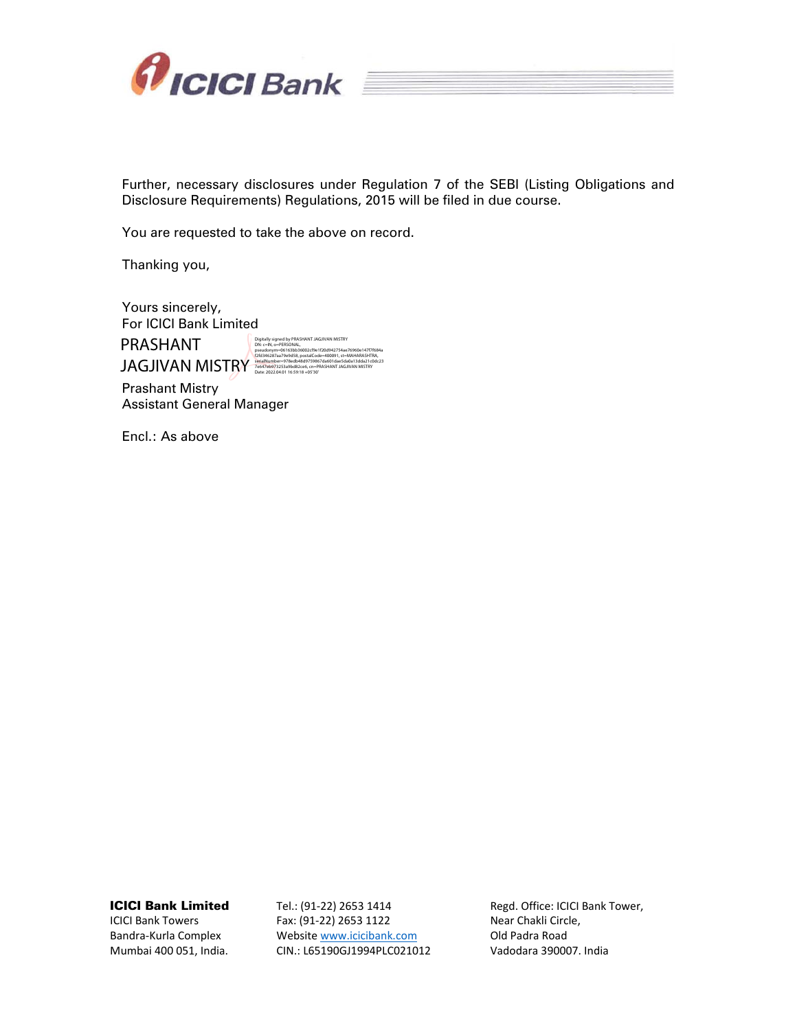

Further, necessary disclosures under Regulation 7 of the SEBI (Listing Obligations and Disclosure Requirements) Regulations, 2015 will be filed in due course.

You are requested to take the above on record.

Thanking you,

Yours sincerely, For ICICI Bank Limited PRASHANT **JAGJIVAN MISTRY** Digitally signed by PRASHANT JAGJIVAN MISTRY DN: c=IN, o=PERSONAL, pseudonym=06163bb36002cf9e1f20d942754ae76960e147f7f684a f2fd346287aa79e9d58, postalCode=400091, st=MAHARASHTRA, serialNumber=978edb48d9759867da601dae5da0a13dda21c0dc23 7e647eb973253a9bd82ce6, cn=PRASHANT JAGJIVAN MISTRY Date: 2022.04.01 16:59:18 +05'30'

Prashant Mistry Assistant General Manager

Encl.: As above

ICICI Bank Limited

ICICI Bank Towers Bandra‐Kurla Complex Mumbai 400 051, India. Tel.: (91‐22) 2653 1414 Fax: (91‐22) 2653 1122 Website www.icicibank.com CIN.: L65190GJ1994PLC021012 Regd. Office: ICICI Bank Tower, Near Chakli Circle, Old Padra Road Vadodara 390007. India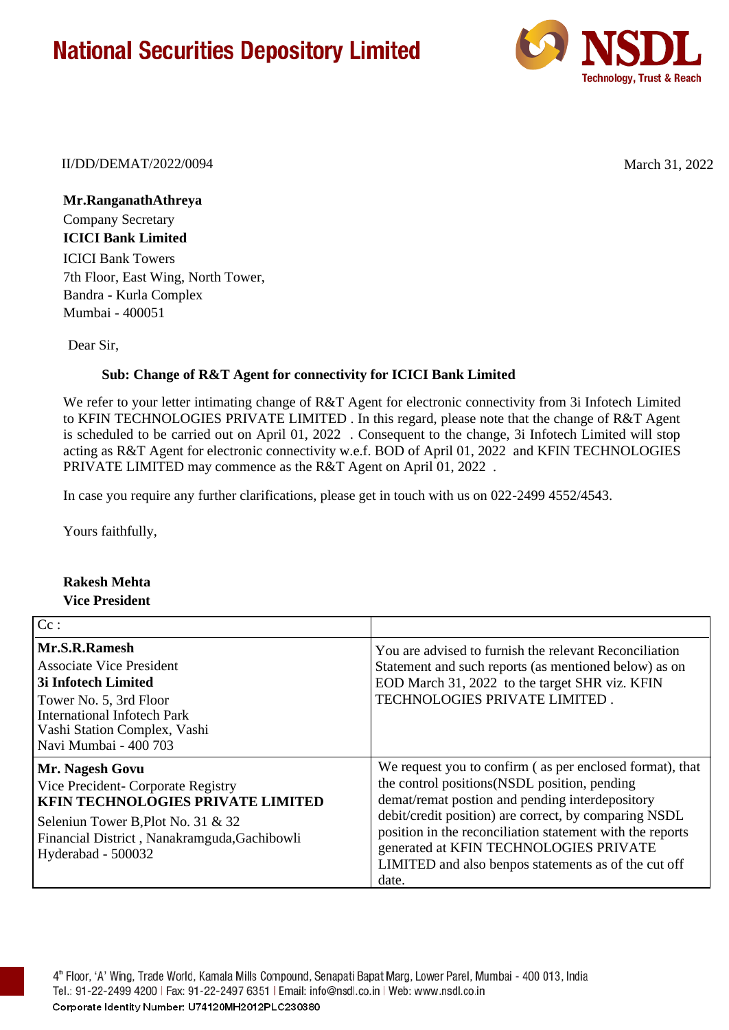## **National Securities Depository Limited**



II/DD/DEMAT/2022/0094 March 31, 2022

**Mr.RanganathAthreya** Company Secretary **ICICI Bank Limited** ICICI Bank Towers 7th Floor, East Wing, North Tower, Bandra - Kurla Complex Mumbai - 400051

Dear Sir,

### **Sub: Change of R&T Agent for connectivity for ICICI Bank Limited**

We refer to your letter intimating change of R&T Agent for electronic connectivity from 3i Infotech Limited to KFIN TECHNOLOGIES PRIVATE LIMITED . In this regard, please note that the change of R&T Agent is scheduled to be carried out on April 01, 2022 . Consequent to the change, 3i Infotech Limited will stop acting as R&T Agent for electronic connectivity w.e.f. BOD of April 01, 2022 and KFIN TECHNOLOGIES PRIVATE LIMITED may commence as the R&T Agent on April 01, 2022 .

In case you require any further clarifications, please get in touch with us on 022-2499 4552/4543.

Yours faithfully,

### **Rakesh Mehta Vice President**

| $ $ Cc :                                                                                                                                                                                                      |                                                                                                                                                                                                                                                                                                                                                                                               |
|---------------------------------------------------------------------------------------------------------------------------------------------------------------------------------------------------------------|-----------------------------------------------------------------------------------------------------------------------------------------------------------------------------------------------------------------------------------------------------------------------------------------------------------------------------------------------------------------------------------------------|
| Mr.S.R.Ramesh<br><b>Associate Vice President</b><br>3i Infotech Limited<br>Tower No. 5, 3rd Floor<br><b>International Infotech Park</b><br>Vashi Station Complex, Vashi<br>Navi Mumbai - 400 703              | You are advised to furnish the relevant Reconciliation<br>Statement and such reports (as mentioned below) as on<br>EOD March 31, 2022 to the target SHR viz. KFIN<br>TECHNOLOGIES PRIVATE LIMITED.                                                                                                                                                                                            |
| Mr. Nagesh Govu<br>Vice Precident- Corporate Registry<br><b>KFIN TECHNOLOGIES PRIVATE LIMITED</b><br>Seleniun Tower B, Plot No. 31 & 32<br>Financial District, Nanakramguda, Gachibowli<br>Hyderabad - 500032 | We request you to confirm (as per enclosed format), that<br>the control positions (NSDL position, pending<br>demat/remat postion and pending interdepository<br>debit/credit position) are correct, by comparing NSDL<br>position in the reconciliation statement with the reports<br>generated at KFIN TECHNOLOGIES PRIVATE<br>LIMITED and also benpos statements as of the cut off<br>date. |